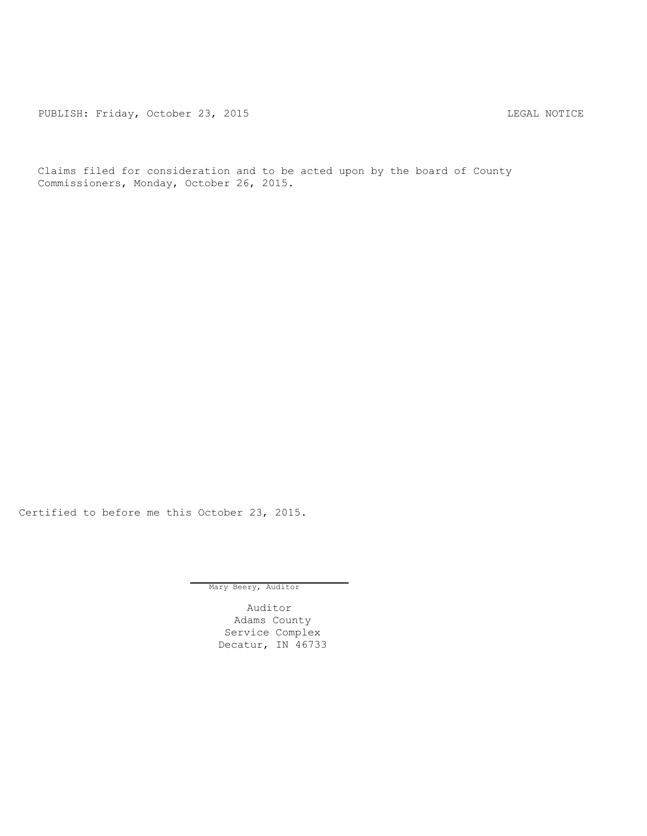PUBLISH: Friday, October 23, 2015 CHA CHARL MOTICE

Claims filed for consideration and to be acted upon by the board of County Commissioners, Monday, October 26, 2015.

Certified to before me this October 23, 2015.

Mary Beery, Auditor

Auditor Adams County Service Complex Decatur, IN 46733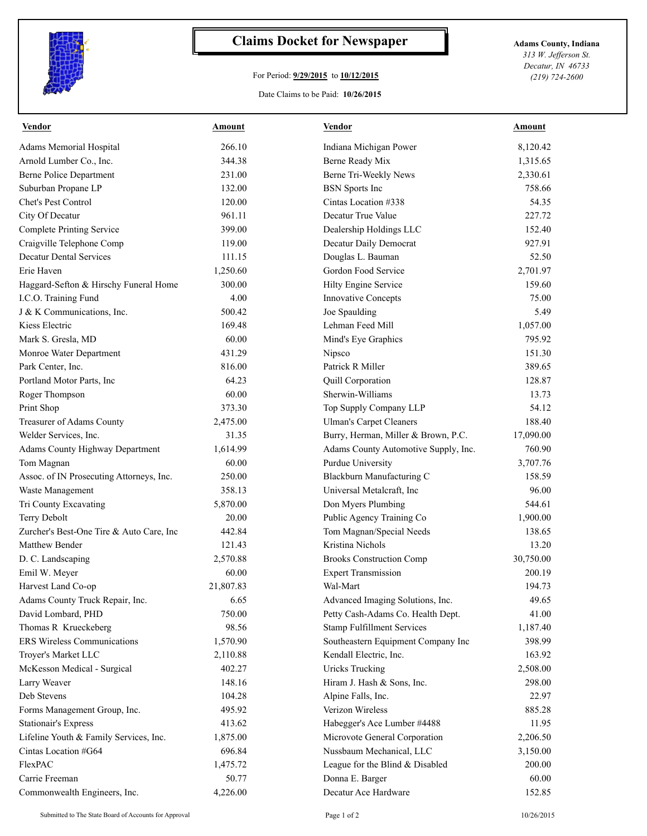

## **Claims Docket for Newspaper Adams County, Indiana**

## For Period: **9/29/2015** to **10/12/2015**

Date Claims to be Paid: **10/26/2015**

*313 W. Jefferson St. Decatur, IN 46733 (219) 724-2600*

| 266.10<br><b>Adams Memorial Hospital</b><br>Indiana Michigan Power<br>8,120.42<br>344.38<br>Arnold Lumber Co., Inc.<br>Berne Ready Mix<br>1,315.65<br><b>Berne Police Department</b><br>Berne Tri-Weekly News<br>231.00<br>2,330.61<br>Suburban Propane LP<br>132.00<br>758.66<br><b>BSN</b> Sports Inc<br>Chet's Pest Control<br>120.00<br>Cintas Location #338<br>54.35<br>City Of Decatur<br>961.11<br>Decatur True Value<br>227.72<br><b>Complete Printing Service</b><br>399.00<br>Dealership Holdings LLC<br>152.40<br>Craigville Telephone Comp<br>Decatur Daily Democrat<br>927.91<br>119.00<br><b>Decatur Dental Services</b><br>Douglas L. Bauman<br>52.50<br>111.15<br>1,250.60<br>Gordon Food Service<br>2,701.97<br>Erie Haven<br>Haggard-Sefton & Hirschy Funeral Home<br>300.00<br>159.60<br>Hilty Engine Service<br>I.C.O. Training Fund<br>4.00<br><b>Innovative Concepts</b><br>75.00<br>J & K Communications, Inc.<br>500.42<br>Joe Spaulding<br>5.49<br>169.48<br>Lehman Feed Mill<br>1,057.00<br>Kiess Electric<br>60.00<br>795.92<br>Mark S. Gresla, MD<br>Mind's Eye Graphics<br>431.29<br>151.30<br>Monroe Water Department<br>Nipsco<br>Park Center, Inc.<br>816.00<br>Patrick R Miller<br>389.65<br>Portland Motor Parts, Inc<br>64.23<br>Quill Corporation<br>128.87<br>Sherwin-Williams<br>60.00<br>13.73<br>Roger Thompson<br>Print Shop<br>373.30<br>Top Supply Company LLP<br>54.12<br>188.40<br>Treasurer of Adams County<br><b>Ulman's Carpet Cleaners</b><br>2,475.00<br>Welder Services, Inc.<br>31.35<br>Burry, Herman, Miller & Brown, P.C.<br>17,090.00<br><b>Adams County Highway Department</b><br>Adams County Automotive Supply, Inc.<br>1,614.99<br>760.90<br>3,707.76<br>Tom Magnan<br>60.00<br><b>Purdue University</b><br>Assoc. of IN Prosecuting Attorneys, Inc.<br>250.00<br>Blackburn Manufacturing C<br>158.59<br>Waste Management<br>358.13<br>Universal Metalcraft, Inc<br>96.00<br>Tri County Excavating<br>544.61<br>5,870.00<br>Don Myers Plumbing<br>Terry Debolt<br>Public Agency Training Co<br>20.00<br>1,900.00<br>Zurcher's Best-One Tire & Auto Care, Inc<br>442.84<br>Tom Magnan/Special Needs<br>138.65<br>Matthew Bender<br>Kristina Nichols<br>121.43<br>13.20<br>D. C. Landscaping<br>2,570.88<br><b>Brooks Construction Comp</b><br>30,750.00<br>60.00<br><b>Expert Transmission</b><br>200.19<br>Emil W. Meyer<br>21,807.83<br>Wal-Mart<br>194.73<br>Harvest Land Co-op<br>Adams County Truck Repair, Inc.<br>6.65<br>Advanced Imaging Solutions, Inc.<br>49.65<br>David Lombard, PHD<br>750.00<br>Petty Cash-Adams Co. Health Dept.<br>41.00<br>Thomas R Krueckeberg<br>98.56<br><b>Stamp Fulfillment Services</b><br>1,187.40<br>ERS Wireless Communications<br>Southeastern Equipment Company Inc<br>1,570.90<br>398.99<br>Troyer's Market LLC<br>163.92<br>2,110.88<br>Kendall Electric, Inc.<br><b>Uricks Trucking</b><br>McKesson Medical - Surgical<br>402.27<br>2,508.00<br>148.16<br>298.00<br>Larry Weaver<br>Hiram J. Hash & Sons, Inc.<br>Deb Stevens<br>104.28<br>22.97<br>Alpine Falls, Inc.<br>Forms Management Group, Inc.<br>Verizon Wireless<br>495.92<br>885.28<br><b>Stationair's Express</b><br>413.62<br>Habegger's Ace Lumber #4488<br>11.95<br>Lifeline Youth & Family Services, Inc.<br>1,875.00<br>Microvote General Corporation<br>2,206.50<br>Nussbaum Mechanical, LLC<br>Cintas Location #G64<br>696.84<br>3,150.00<br>FlexPAC<br>1,475.72<br>League for the Blind & Disabled<br>200.00<br>Carrie Freeman<br>50.77<br>Donna E. Barger<br>60.00<br>Commonwealth Engineers, Inc.<br>4,226.00<br>Decatur Ace Hardware<br>152.85 | <b>Vendor</b> | <b>Amount</b> | <b>Vendor</b> | <b>Amount</b> |
|---------------------------------------------------------------------------------------------------------------------------------------------------------------------------------------------------------------------------------------------------------------------------------------------------------------------------------------------------------------------------------------------------------------------------------------------------------------------------------------------------------------------------------------------------------------------------------------------------------------------------------------------------------------------------------------------------------------------------------------------------------------------------------------------------------------------------------------------------------------------------------------------------------------------------------------------------------------------------------------------------------------------------------------------------------------------------------------------------------------------------------------------------------------------------------------------------------------------------------------------------------------------------------------------------------------------------------------------------------------------------------------------------------------------------------------------------------------------------------------------------------------------------------------------------------------------------------------------------------------------------------------------------------------------------------------------------------------------------------------------------------------------------------------------------------------------------------------------------------------------------------------------------------------------------------------------------------------------------------------------------------------------------------------------------------------------------------------------------------------------------------------------------------------------------------------------------------------------------------------------------------------------------------------------------------------------------------------------------------------------------------------------------------------------------------------------------------------------------------------------------------------------------------------------------------------------------------------------------------------------------------------------------------------------------------------------------------------------------------------------------------------------------------------------------------------------------------------------------------------------------------------------------------------------------------------------------------------------------------------------------------------------------------------------------------------------------------------------------------------------------------------------------------------------------------------------------------------------------------------------------------------------------------------------------------------------------------------------------------------------------------------------------------------------------------------------------------------------------------------------------------------------------------------------------------------------------------------------------------------------------------|---------------|---------------|---------------|---------------|
|                                                                                                                                                                                                                                                                                                                                                                                                                                                                                                                                                                                                                                                                                                                                                                                                                                                                                                                                                                                                                                                                                                                                                                                                                                                                                                                                                                                                                                                                                                                                                                                                                                                                                                                                                                                                                                                                                                                                                                                                                                                                                                                                                                                                                                                                                                                                                                                                                                                                                                                                                                                                                                                                                                                                                                                                                                                                                                                                                                                                                                                                                                                                                                                                                                                                                                                                                                                                                                                                                                                                                                                                                                 |               |               |               |               |
|                                                                                                                                                                                                                                                                                                                                                                                                                                                                                                                                                                                                                                                                                                                                                                                                                                                                                                                                                                                                                                                                                                                                                                                                                                                                                                                                                                                                                                                                                                                                                                                                                                                                                                                                                                                                                                                                                                                                                                                                                                                                                                                                                                                                                                                                                                                                                                                                                                                                                                                                                                                                                                                                                                                                                                                                                                                                                                                                                                                                                                                                                                                                                                                                                                                                                                                                                                                                                                                                                                                                                                                                                                 |               |               |               |               |
|                                                                                                                                                                                                                                                                                                                                                                                                                                                                                                                                                                                                                                                                                                                                                                                                                                                                                                                                                                                                                                                                                                                                                                                                                                                                                                                                                                                                                                                                                                                                                                                                                                                                                                                                                                                                                                                                                                                                                                                                                                                                                                                                                                                                                                                                                                                                                                                                                                                                                                                                                                                                                                                                                                                                                                                                                                                                                                                                                                                                                                                                                                                                                                                                                                                                                                                                                                                                                                                                                                                                                                                                                                 |               |               |               |               |
|                                                                                                                                                                                                                                                                                                                                                                                                                                                                                                                                                                                                                                                                                                                                                                                                                                                                                                                                                                                                                                                                                                                                                                                                                                                                                                                                                                                                                                                                                                                                                                                                                                                                                                                                                                                                                                                                                                                                                                                                                                                                                                                                                                                                                                                                                                                                                                                                                                                                                                                                                                                                                                                                                                                                                                                                                                                                                                                                                                                                                                                                                                                                                                                                                                                                                                                                                                                                                                                                                                                                                                                                                                 |               |               |               |               |
|                                                                                                                                                                                                                                                                                                                                                                                                                                                                                                                                                                                                                                                                                                                                                                                                                                                                                                                                                                                                                                                                                                                                                                                                                                                                                                                                                                                                                                                                                                                                                                                                                                                                                                                                                                                                                                                                                                                                                                                                                                                                                                                                                                                                                                                                                                                                                                                                                                                                                                                                                                                                                                                                                                                                                                                                                                                                                                                                                                                                                                                                                                                                                                                                                                                                                                                                                                                                                                                                                                                                                                                                                                 |               |               |               |               |
|                                                                                                                                                                                                                                                                                                                                                                                                                                                                                                                                                                                                                                                                                                                                                                                                                                                                                                                                                                                                                                                                                                                                                                                                                                                                                                                                                                                                                                                                                                                                                                                                                                                                                                                                                                                                                                                                                                                                                                                                                                                                                                                                                                                                                                                                                                                                                                                                                                                                                                                                                                                                                                                                                                                                                                                                                                                                                                                                                                                                                                                                                                                                                                                                                                                                                                                                                                                                                                                                                                                                                                                                                                 |               |               |               |               |
|                                                                                                                                                                                                                                                                                                                                                                                                                                                                                                                                                                                                                                                                                                                                                                                                                                                                                                                                                                                                                                                                                                                                                                                                                                                                                                                                                                                                                                                                                                                                                                                                                                                                                                                                                                                                                                                                                                                                                                                                                                                                                                                                                                                                                                                                                                                                                                                                                                                                                                                                                                                                                                                                                                                                                                                                                                                                                                                                                                                                                                                                                                                                                                                                                                                                                                                                                                                                                                                                                                                                                                                                                                 |               |               |               |               |
|                                                                                                                                                                                                                                                                                                                                                                                                                                                                                                                                                                                                                                                                                                                                                                                                                                                                                                                                                                                                                                                                                                                                                                                                                                                                                                                                                                                                                                                                                                                                                                                                                                                                                                                                                                                                                                                                                                                                                                                                                                                                                                                                                                                                                                                                                                                                                                                                                                                                                                                                                                                                                                                                                                                                                                                                                                                                                                                                                                                                                                                                                                                                                                                                                                                                                                                                                                                                                                                                                                                                                                                                                                 |               |               |               |               |
|                                                                                                                                                                                                                                                                                                                                                                                                                                                                                                                                                                                                                                                                                                                                                                                                                                                                                                                                                                                                                                                                                                                                                                                                                                                                                                                                                                                                                                                                                                                                                                                                                                                                                                                                                                                                                                                                                                                                                                                                                                                                                                                                                                                                                                                                                                                                                                                                                                                                                                                                                                                                                                                                                                                                                                                                                                                                                                                                                                                                                                                                                                                                                                                                                                                                                                                                                                                                                                                                                                                                                                                                                                 |               |               |               |               |
|                                                                                                                                                                                                                                                                                                                                                                                                                                                                                                                                                                                                                                                                                                                                                                                                                                                                                                                                                                                                                                                                                                                                                                                                                                                                                                                                                                                                                                                                                                                                                                                                                                                                                                                                                                                                                                                                                                                                                                                                                                                                                                                                                                                                                                                                                                                                                                                                                                                                                                                                                                                                                                                                                                                                                                                                                                                                                                                                                                                                                                                                                                                                                                                                                                                                                                                                                                                                                                                                                                                                                                                                                                 |               |               |               |               |
|                                                                                                                                                                                                                                                                                                                                                                                                                                                                                                                                                                                                                                                                                                                                                                                                                                                                                                                                                                                                                                                                                                                                                                                                                                                                                                                                                                                                                                                                                                                                                                                                                                                                                                                                                                                                                                                                                                                                                                                                                                                                                                                                                                                                                                                                                                                                                                                                                                                                                                                                                                                                                                                                                                                                                                                                                                                                                                                                                                                                                                                                                                                                                                                                                                                                                                                                                                                                                                                                                                                                                                                                                                 |               |               |               |               |
|                                                                                                                                                                                                                                                                                                                                                                                                                                                                                                                                                                                                                                                                                                                                                                                                                                                                                                                                                                                                                                                                                                                                                                                                                                                                                                                                                                                                                                                                                                                                                                                                                                                                                                                                                                                                                                                                                                                                                                                                                                                                                                                                                                                                                                                                                                                                                                                                                                                                                                                                                                                                                                                                                                                                                                                                                                                                                                                                                                                                                                                                                                                                                                                                                                                                                                                                                                                                                                                                                                                                                                                                                                 |               |               |               |               |
|                                                                                                                                                                                                                                                                                                                                                                                                                                                                                                                                                                                                                                                                                                                                                                                                                                                                                                                                                                                                                                                                                                                                                                                                                                                                                                                                                                                                                                                                                                                                                                                                                                                                                                                                                                                                                                                                                                                                                                                                                                                                                                                                                                                                                                                                                                                                                                                                                                                                                                                                                                                                                                                                                                                                                                                                                                                                                                                                                                                                                                                                                                                                                                                                                                                                                                                                                                                                                                                                                                                                                                                                                                 |               |               |               |               |
|                                                                                                                                                                                                                                                                                                                                                                                                                                                                                                                                                                                                                                                                                                                                                                                                                                                                                                                                                                                                                                                                                                                                                                                                                                                                                                                                                                                                                                                                                                                                                                                                                                                                                                                                                                                                                                                                                                                                                                                                                                                                                                                                                                                                                                                                                                                                                                                                                                                                                                                                                                                                                                                                                                                                                                                                                                                                                                                                                                                                                                                                                                                                                                                                                                                                                                                                                                                                                                                                                                                                                                                                                                 |               |               |               |               |
|                                                                                                                                                                                                                                                                                                                                                                                                                                                                                                                                                                                                                                                                                                                                                                                                                                                                                                                                                                                                                                                                                                                                                                                                                                                                                                                                                                                                                                                                                                                                                                                                                                                                                                                                                                                                                                                                                                                                                                                                                                                                                                                                                                                                                                                                                                                                                                                                                                                                                                                                                                                                                                                                                                                                                                                                                                                                                                                                                                                                                                                                                                                                                                                                                                                                                                                                                                                                                                                                                                                                                                                                                                 |               |               |               |               |
|                                                                                                                                                                                                                                                                                                                                                                                                                                                                                                                                                                                                                                                                                                                                                                                                                                                                                                                                                                                                                                                                                                                                                                                                                                                                                                                                                                                                                                                                                                                                                                                                                                                                                                                                                                                                                                                                                                                                                                                                                                                                                                                                                                                                                                                                                                                                                                                                                                                                                                                                                                                                                                                                                                                                                                                                                                                                                                                                                                                                                                                                                                                                                                                                                                                                                                                                                                                                                                                                                                                                                                                                                                 |               |               |               |               |
|                                                                                                                                                                                                                                                                                                                                                                                                                                                                                                                                                                                                                                                                                                                                                                                                                                                                                                                                                                                                                                                                                                                                                                                                                                                                                                                                                                                                                                                                                                                                                                                                                                                                                                                                                                                                                                                                                                                                                                                                                                                                                                                                                                                                                                                                                                                                                                                                                                                                                                                                                                                                                                                                                                                                                                                                                                                                                                                                                                                                                                                                                                                                                                                                                                                                                                                                                                                                                                                                                                                                                                                                                                 |               |               |               |               |
|                                                                                                                                                                                                                                                                                                                                                                                                                                                                                                                                                                                                                                                                                                                                                                                                                                                                                                                                                                                                                                                                                                                                                                                                                                                                                                                                                                                                                                                                                                                                                                                                                                                                                                                                                                                                                                                                                                                                                                                                                                                                                                                                                                                                                                                                                                                                                                                                                                                                                                                                                                                                                                                                                                                                                                                                                                                                                                                                                                                                                                                                                                                                                                                                                                                                                                                                                                                                                                                                                                                                                                                                                                 |               |               |               |               |
|                                                                                                                                                                                                                                                                                                                                                                                                                                                                                                                                                                                                                                                                                                                                                                                                                                                                                                                                                                                                                                                                                                                                                                                                                                                                                                                                                                                                                                                                                                                                                                                                                                                                                                                                                                                                                                                                                                                                                                                                                                                                                                                                                                                                                                                                                                                                                                                                                                                                                                                                                                                                                                                                                                                                                                                                                                                                                                                                                                                                                                                                                                                                                                                                                                                                                                                                                                                                                                                                                                                                                                                                                                 |               |               |               |               |
|                                                                                                                                                                                                                                                                                                                                                                                                                                                                                                                                                                                                                                                                                                                                                                                                                                                                                                                                                                                                                                                                                                                                                                                                                                                                                                                                                                                                                                                                                                                                                                                                                                                                                                                                                                                                                                                                                                                                                                                                                                                                                                                                                                                                                                                                                                                                                                                                                                                                                                                                                                                                                                                                                                                                                                                                                                                                                                                                                                                                                                                                                                                                                                                                                                                                                                                                                                                                                                                                                                                                                                                                                                 |               |               |               |               |
|                                                                                                                                                                                                                                                                                                                                                                                                                                                                                                                                                                                                                                                                                                                                                                                                                                                                                                                                                                                                                                                                                                                                                                                                                                                                                                                                                                                                                                                                                                                                                                                                                                                                                                                                                                                                                                                                                                                                                                                                                                                                                                                                                                                                                                                                                                                                                                                                                                                                                                                                                                                                                                                                                                                                                                                                                                                                                                                                                                                                                                                                                                                                                                                                                                                                                                                                                                                                                                                                                                                                                                                                                                 |               |               |               |               |
|                                                                                                                                                                                                                                                                                                                                                                                                                                                                                                                                                                                                                                                                                                                                                                                                                                                                                                                                                                                                                                                                                                                                                                                                                                                                                                                                                                                                                                                                                                                                                                                                                                                                                                                                                                                                                                                                                                                                                                                                                                                                                                                                                                                                                                                                                                                                                                                                                                                                                                                                                                                                                                                                                                                                                                                                                                                                                                                                                                                                                                                                                                                                                                                                                                                                                                                                                                                                                                                                                                                                                                                                                                 |               |               |               |               |
|                                                                                                                                                                                                                                                                                                                                                                                                                                                                                                                                                                                                                                                                                                                                                                                                                                                                                                                                                                                                                                                                                                                                                                                                                                                                                                                                                                                                                                                                                                                                                                                                                                                                                                                                                                                                                                                                                                                                                                                                                                                                                                                                                                                                                                                                                                                                                                                                                                                                                                                                                                                                                                                                                                                                                                                                                                                                                                                                                                                                                                                                                                                                                                                                                                                                                                                                                                                                                                                                                                                                                                                                                                 |               |               |               |               |
|                                                                                                                                                                                                                                                                                                                                                                                                                                                                                                                                                                                                                                                                                                                                                                                                                                                                                                                                                                                                                                                                                                                                                                                                                                                                                                                                                                                                                                                                                                                                                                                                                                                                                                                                                                                                                                                                                                                                                                                                                                                                                                                                                                                                                                                                                                                                                                                                                                                                                                                                                                                                                                                                                                                                                                                                                                                                                                                                                                                                                                                                                                                                                                                                                                                                                                                                                                                                                                                                                                                                                                                                                                 |               |               |               |               |
|                                                                                                                                                                                                                                                                                                                                                                                                                                                                                                                                                                                                                                                                                                                                                                                                                                                                                                                                                                                                                                                                                                                                                                                                                                                                                                                                                                                                                                                                                                                                                                                                                                                                                                                                                                                                                                                                                                                                                                                                                                                                                                                                                                                                                                                                                                                                                                                                                                                                                                                                                                                                                                                                                                                                                                                                                                                                                                                                                                                                                                                                                                                                                                                                                                                                                                                                                                                                                                                                                                                                                                                                                                 |               |               |               |               |
|                                                                                                                                                                                                                                                                                                                                                                                                                                                                                                                                                                                                                                                                                                                                                                                                                                                                                                                                                                                                                                                                                                                                                                                                                                                                                                                                                                                                                                                                                                                                                                                                                                                                                                                                                                                                                                                                                                                                                                                                                                                                                                                                                                                                                                                                                                                                                                                                                                                                                                                                                                                                                                                                                                                                                                                                                                                                                                                                                                                                                                                                                                                                                                                                                                                                                                                                                                                                                                                                                                                                                                                                                                 |               |               |               |               |
|                                                                                                                                                                                                                                                                                                                                                                                                                                                                                                                                                                                                                                                                                                                                                                                                                                                                                                                                                                                                                                                                                                                                                                                                                                                                                                                                                                                                                                                                                                                                                                                                                                                                                                                                                                                                                                                                                                                                                                                                                                                                                                                                                                                                                                                                                                                                                                                                                                                                                                                                                                                                                                                                                                                                                                                                                                                                                                                                                                                                                                                                                                                                                                                                                                                                                                                                                                                                                                                                                                                                                                                                                                 |               |               |               |               |
|                                                                                                                                                                                                                                                                                                                                                                                                                                                                                                                                                                                                                                                                                                                                                                                                                                                                                                                                                                                                                                                                                                                                                                                                                                                                                                                                                                                                                                                                                                                                                                                                                                                                                                                                                                                                                                                                                                                                                                                                                                                                                                                                                                                                                                                                                                                                                                                                                                                                                                                                                                                                                                                                                                                                                                                                                                                                                                                                                                                                                                                                                                                                                                                                                                                                                                                                                                                                                                                                                                                                                                                                                                 |               |               |               |               |
|                                                                                                                                                                                                                                                                                                                                                                                                                                                                                                                                                                                                                                                                                                                                                                                                                                                                                                                                                                                                                                                                                                                                                                                                                                                                                                                                                                                                                                                                                                                                                                                                                                                                                                                                                                                                                                                                                                                                                                                                                                                                                                                                                                                                                                                                                                                                                                                                                                                                                                                                                                                                                                                                                                                                                                                                                                                                                                                                                                                                                                                                                                                                                                                                                                                                                                                                                                                                                                                                                                                                                                                                                                 |               |               |               |               |
|                                                                                                                                                                                                                                                                                                                                                                                                                                                                                                                                                                                                                                                                                                                                                                                                                                                                                                                                                                                                                                                                                                                                                                                                                                                                                                                                                                                                                                                                                                                                                                                                                                                                                                                                                                                                                                                                                                                                                                                                                                                                                                                                                                                                                                                                                                                                                                                                                                                                                                                                                                                                                                                                                                                                                                                                                                                                                                                                                                                                                                                                                                                                                                                                                                                                                                                                                                                                                                                                                                                                                                                                                                 |               |               |               |               |
|                                                                                                                                                                                                                                                                                                                                                                                                                                                                                                                                                                                                                                                                                                                                                                                                                                                                                                                                                                                                                                                                                                                                                                                                                                                                                                                                                                                                                                                                                                                                                                                                                                                                                                                                                                                                                                                                                                                                                                                                                                                                                                                                                                                                                                                                                                                                                                                                                                                                                                                                                                                                                                                                                                                                                                                                                                                                                                                                                                                                                                                                                                                                                                                                                                                                                                                                                                                                                                                                                                                                                                                                                                 |               |               |               |               |
|                                                                                                                                                                                                                                                                                                                                                                                                                                                                                                                                                                                                                                                                                                                                                                                                                                                                                                                                                                                                                                                                                                                                                                                                                                                                                                                                                                                                                                                                                                                                                                                                                                                                                                                                                                                                                                                                                                                                                                                                                                                                                                                                                                                                                                                                                                                                                                                                                                                                                                                                                                                                                                                                                                                                                                                                                                                                                                                                                                                                                                                                                                                                                                                                                                                                                                                                                                                                                                                                                                                                                                                                                                 |               |               |               |               |
|                                                                                                                                                                                                                                                                                                                                                                                                                                                                                                                                                                                                                                                                                                                                                                                                                                                                                                                                                                                                                                                                                                                                                                                                                                                                                                                                                                                                                                                                                                                                                                                                                                                                                                                                                                                                                                                                                                                                                                                                                                                                                                                                                                                                                                                                                                                                                                                                                                                                                                                                                                                                                                                                                                                                                                                                                                                                                                                                                                                                                                                                                                                                                                                                                                                                                                                                                                                                                                                                                                                                                                                                                                 |               |               |               |               |
|                                                                                                                                                                                                                                                                                                                                                                                                                                                                                                                                                                                                                                                                                                                                                                                                                                                                                                                                                                                                                                                                                                                                                                                                                                                                                                                                                                                                                                                                                                                                                                                                                                                                                                                                                                                                                                                                                                                                                                                                                                                                                                                                                                                                                                                                                                                                                                                                                                                                                                                                                                                                                                                                                                                                                                                                                                                                                                                                                                                                                                                                                                                                                                                                                                                                                                                                                                                                                                                                                                                                                                                                                                 |               |               |               |               |
|                                                                                                                                                                                                                                                                                                                                                                                                                                                                                                                                                                                                                                                                                                                                                                                                                                                                                                                                                                                                                                                                                                                                                                                                                                                                                                                                                                                                                                                                                                                                                                                                                                                                                                                                                                                                                                                                                                                                                                                                                                                                                                                                                                                                                                                                                                                                                                                                                                                                                                                                                                                                                                                                                                                                                                                                                                                                                                                                                                                                                                                                                                                                                                                                                                                                                                                                                                                                                                                                                                                                                                                                                                 |               |               |               |               |
|                                                                                                                                                                                                                                                                                                                                                                                                                                                                                                                                                                                                                                                                                                                                                                                                                                                                                                                                                                                                                                                                                                                                                                                                                                                                                                                                                                                                                                                                                                                                                                                                                                                                                                                                                                                                                                                                                                                                                                                                                                                                                                                                                                                                                                                                                                                                                                                                                                                                                                                                                                                                                                                                                                                                                                                                                                                                                                                                                                                                                                                                                                                                                                                                                                                                                                                                                                                                                                                                                                                                                                                                                                 |               |               |               |               |
|                                                                                                                                                                                                                                                                                                                                                                                                                                                                                                                                                                                                                                                                                                                                                                                                                                                                                                                                                                                                                                                                                                                                                                                                                                                                                                                                                                                                                                                                                                                                                                                                                                                                                                                                                                                                                                                                                                                                                                                                                                                                                                                                                                                                                                                                                                                                                                                                                                                                                                                                                                                                                                                                                                                                                                                                                                                                                                                                                                                                                                                                                                                                                                                                                                                                                                                                                                                                                                                                                                                                                                                                                                 |               |               |               |               |
|                                                                                                                                                                                                                                                                                                                                                                                                                                                                                                                                                                                                                                                                                                                                                                                                                                                                                                                                                                                                                                                                                                                                                                                                                                                                                                                                                                                                                                                                                                                                                                                                                                                                                                                                                                                                                                                                                                                                                                                                                                                                                                                                                                                                                                                                                                                                                                                                                                                                                                                                                                                                                                                                                                                                                                                                                                                                                                                                                                                                                                                                                                                                                                                                                                                                                                                                                                                                                                                                                                                                                                                                                                 |               |               |               |               |
|                                                                                                                                                                                                                                                                                                                                                                                                                                                                                                                                                                                                                                                                                                                                                                                                                                                                                                                                                                                                                                                                                                                                                                                                                                                                                                                                                                                                                                                                                                                                                                                                                                                                                                                                                                                                                                                                                                                                                                                                                                                                                                                                                                                                                                                                                                                                                                                                                                                                                                                                                                                                                                                                                                                                                                                                                                                                                                                                                                                                                                                                                                                                                                                                                                                                                                                                                                                                                                                                                                                                                                                                                                 |               |               |               |               |
|                                                                                                                                                                                                                                                                                                                                                                                                                                                                                                                                                                                                                                                                                                                                                                                                                                                                                                                                                                                                                                                                                                                                                                                                                                                                                                                                                                                                                                                                                                                                                                                                                                                                                                                                                                                                                                                                                                                                                                                                                                                                                                                                                                                                                                                                                                                                                                                                                                                                                                                                                                                                                                                                                                                                                                                                                                                                                                                                                                                                                                                                                                                                                                                                                                                                                                                                                                                                                                                                                                                                                                                                                                 |               |               |               |               |
|                                                                                                                                                                                                                                                                                                                                                                                                                                                                                                                                                                                                                                                                                                                                                                                                                                                                                                                                                                                                                                                                                                                                                                                                                                                                                                                                                                                                                                                                                                                                                                                                                                                                                                                                                                                                                                                                                                                                                                                                                                                                                                                                                                                                                                                                                                                                                                                                                                                                                                                                                                                                                                                                                                                                                                                                                                                                                                                                                                                                                                                                                                                                                                                                                                                                                                                                                                                                                                                                                                                                                                                                                                 |               |               |               |               |
|                                                                                                                                                                                                                                                                                                                                                                                                                                                                                                                                                                                                                                                                                                                                                                                                                                                                                                                                                                                                                                                                                                                                                                                                                                                                                                                                                                                                                                                                                                                                                                                                                                                                                                                                                                                                                                                                                                                                                                                                                                                                                                                                                                                                                                                                                                                                                                                                                                                                                                                                                                                                                                                                                                                                                                                                                                                                                                                                                                                                                                                                                                                                                                                                                                                                                                                                                                                                                                                                                                                                                                                                                                 |               |               |               |               |
|                                                                                                                                                                                                                                                                                                                                                                                                                                                                                                                                                                                                                                                                                                                                                                                                                                                                                                                                                                                                                                                                                                                                                                                                                                                                                                                                                                                                                                                                                                                                                                                                                                                                                                                                                                                                                                                                                                                                                                                                                                                                                                                                                                                                                                                                                                                                                                                                                                                                                                                                                                                                                                                                                                                                                                                                                                                                                                                                                                                                                                                                                                                                                                                                                                                                                                                                                                                                                                                                                                                                                                                                                                 |               |               |               |               |
|                                                                                                                                                                                                                                                                                                                                                                                                                                                                                                                                                                                                                                                                                                                                                                                                                                                                                                                                                                                                                                                                                                                                                                                                                                                                                                                                                                                                                                                                                                                                                                                                                                                                                                                                                                                                                                                                                                                                                                                                                                                                                                                                                                                                                                                                                                                                                                                                                                                                                                                                                                                                                                                                                                                                                                                                                                                                                                                                                                                                                                                                                                                                                                                                                                                                                                                                                                                                                                                                                                                                                                                                                                 |               |               |               |               |
|                                                                                                                                                                                                                                                                                                                                                                                                                                                                                                                                                                                                                                                                                                                                                                                                                                                                                                                                                                                                                                                                                                                                                                                                                                                                                                                                                                                                                                                                                                                                                                                                                                                                                                                                                                                                                                                                                                                                                                                                                                                                                                                                                                                                                                                                                                                                                                                                                                                                                                                                                                                                                                                                                                                                                                                                                                                                                                                                                                                                                                                                                                                                                                                                                                                                                                                                                                                                                                                                                                                                                                                                                                 |               |               |               |               |
|                                                                                                                                                                                                                                                                                                                                                                                                                                                                                                                                                                                                                                                                                                                                                                                                                                                                                                                                                                                                                                                                                                                                                                                                                                                                                                                                                                                                                                                                                                                                                                                                                                                                                                                                                                                                                                                                                                                                                                                                                                                                                                                                                                                                                                                                                                                                                                                                                                                                                                                                                                                                                                                                                                                                                                                                                                                                                                                                                                                                                                                                                                                                                                                                                                                                                                                                                                                                                                                                                                                                                                                                                                 |               |               |               |               |
|                                                                                                                                                                                                                                                                                                                                                                                                                                                                                                                                                                                                                                                                                                                                                                                                                                                                                                                                                                                                                                                                                                                                                                                                                                                                                                                                                                                                                                                                                                                                                                                                                                                                                                                                                                                                                                                                                                                                                                                                                                                                                                                                                                                                                                                                                                                                                                                                                                                                                                                                                                                                                                                                                                                                                                                                                                                                                                                                                                                                                                                                                                                                                                                                                                                                                                                                                                                                                                                                                                                                                                                                                                 |               |               |               |               |
|                                                                                                                                                                                                                                                                                                                                                                                                                                                                                                                                                                                                                                                                                                                                                                                                                                                                                                                                                                                                                                                                                                                                                                                                                                                                                                                                                                                                                                                                                                                                                                                                                                                                                                                                                                                                                                                                                                                                                                                                                                                                                                                                                                                                                                                                                                                                                                                                                                                                                                                                                                                                                                                                                                                                                                                                                                                                                                                                                                                                                                                                                                                                                                                                                                                                                                                                                                                                                                                                                                                                                                                                                                 |               |               |               |               |

Submitted to The State Board of Accounts for Approval Page 1 of 2 10/26/2015